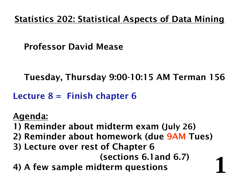### Statistics 202: Statistical Aspects of Data Mining

### Professor David Mease

Tuesday, Thursday 9:00-10:15 AM Terman 156

Lecture  $8 =$  Finish chapter 6

### Agenda:

- 1) Reminder about midterm exam (July 26 )
- 2) Reminder about homework (due 9AM Tues)
- 3) Lecture over rest of Chapter 6

(sections 6.1and 6.7)

**1**

4) A few sample midterm questions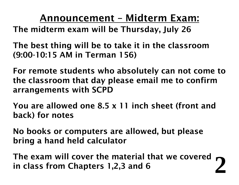Announcement – Midterm Exam:

- The midterm exam will be Thursday, July 26
- The best thing will be to take it in the classroom (9:00-10:15 AM in Terman 156)
- For remote students who absolutely can not come to the classroom that day please email me to confirm arrangements with SCPD
- You are allowed one 8.5 x 11 inch sheet (front and back) for notes
- No books or computers are allowed, but please bring a hand held calculator
- **2**The exam will cover the material that we covered in class from Chapters 1,2,3 and 6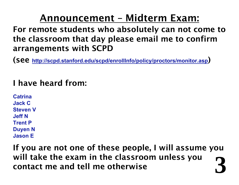## Announcement – Midterm Exam:

- For remote students who absolutely can not come to the classroom that day please email me to confirm arrangements with SCPD
- (see **http://scpd.stanford.edu/scpd/enrollInfo/policy/proctors/monitor.asp** )

### I have heard from:

**CatrinaJack CSteven VJeff NTrent PDuyen N Jason E**

**3** If you are not one of these people, I will assume you will take the exam in the classroom unless you contact me and tell me otherwise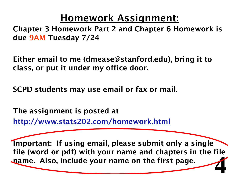## Homework Assignment:

Chapter 3 Homework Part 2 and Chapter 6 Homework is due 9AM Tuesday 7/24

Either email to me (dmease@stanford.edu), bring it to class, or put it under my office door.

SCPD students may use email or fax or mail.

The assignment is posted at

http://www.stats202.com/homework.html

**4**Important: If using email, please submit only a single file (word or pdf) with your name and chapters in the file name. Also, include your name on the first page.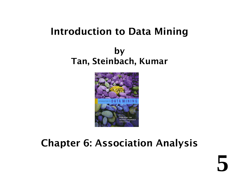## Introduction to Data Mining

### by Tan, Steinbach, Kumar



## Chapter 6: Association Analysis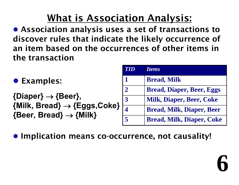# What is Association Analysis:

• Association analysis uses a set of transactions to discover rules that indicate the likely occurrence of an item based on the occurrences of other items in the transaction

- **Examples:**
- **{Diaper}**  → **{Beer}, {Milk, Bread}**  → **{Eggs,Coke} {Beer, Bread}**  → **{Milk}**

| <b>TID</b>           | <b>Items</b>                     |
|----------------------|----------------------------------|
| 1                    | <b>Bread, Milk</b>               |
| $\mathbf 2$          | <b>Bread, Diaper, Beer, Eggs</b> |
| 3                    | <b>Milk, Diaper, Beer, Coke</b>  |
| 4                    | <b>Bread, Milk, Diaper, Beer</b> |
| $\blacktriangleleft$ | <b>Bread, Milk, Diaper, Coke</b> |

**6**

**• Implication means co-occurrence, not causality!**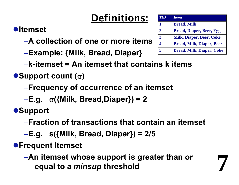# Definitions:

### z**Itemset**

- –**A collection of one or more items**
- –**Example: {Milk, Bread, Diaper}**

| <b>TID</b>     | <b>Items</b>                     |
|----------------|----------------------------------|
| $\mathbf{1}$   | <b>Bread, Milk</b>               |
| $\overline{2}$ | <b>Bread, Diaper, Beer, Eggs</b> |
| $\overline{3}$ | <b>Milk, Diaper, Beer, Coke</b>  |
|                | <b>Bread, Milk, Diaper, Beer</b> |
| $\overline{5}$ | <b>Bread, Milk, Diaper, Coke</b> |

**7**

–**k-itemset = An itemset that contains k items**

### <sup>z</sup>**Support count (**σ**)**

- –**Frequency of occurrence of an itemset**
- –**E.g.** σ**({Milk, Bread,Diaper}) = 2**

 $\bullet$ **Support** 

- –**Fraction of transactions that contain an itemset**
- –**E.g. s({Milk, Bread, Diaper}) = 2/5**

**• Frequent Itemset** 

–**An itemset whose support is greater than or equal to a** *minsup* **threshold**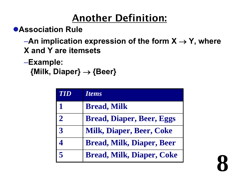# Another Definition:

**• Association Rule** 

–**An implication expression of the form X**  → **Y, where X and Y are itemsets**

### –**Example: {Milk, Diaper}**  → **{Beer}**

| <b>TID</b>           | <i>Items</i>                     |
|----------------------|----------------------------------|
| 1                    | <b>Bread, Milk</b>               |
| $\mathbf{2}$         | <b>Bread, Diaper, Beer, Eggs</b> |
| $\mathbf{3}$         | <b>Milk, Diaper, Beer, Coke</b>  |
|                      | <b>Bread, Milk, Diaper, Beer</b> |
| $\blacktriangleleft$ | <b>Bread, Milk, Diaper, Coke</b> |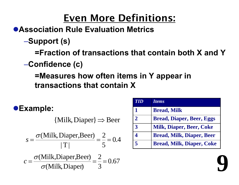## Even More Definitions:

### **• Association Rule Evaluation Metrics**

–**Support (s)**

**=Fraction of transactions that contain both X and Y**

–**Confidence (c)**

**=Measures how often items in Y appear in transactions that contain X**

### <sup>z</sup>**Example:**

 ${Milk, Diaper} \Rightarrow$  Beer

$$
s = \frac{\sigma(\text{Milk}, \text{Digner}, \text{Beer})}{|T|} = \frac{2}{5} = 0.4
$$

$$
c = \frac{\sigma(\text{Milk},\text{Diaper},\text{Beer})}{\sigma(\text{Milk},\text{Diaper})} = \frac{2}{3} = 0.67
$$

| TID                  | <i><u><b>Items</b></u></i>       |
|----------------------|----------------------------------|
| 1                    | <b>Bread, Milk</b>               |
| $\mathbf{2}$         | <b>Bread, Diaper, Beer, Eggs</b> |
| 3                    | <b>Milk, Diaper, Beer, Coke</b>  |
| 4                    | <b>Bread, Milk, Diaper, Beer</b> |
| $\blacktriangleleft$ | <b>Bread, Milk, Diaper, Coke</b> |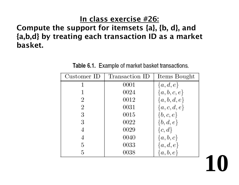#### In class exercise #26:

### Compute the support for itemsets {a}, {b, d}, and {a,b,d} by treating each transaction ID as a market basket.

Table 6.1. Example of market basket transactions.

| Customer ID | Transaction ID | Items Bought  |
|-------------|----------------|---------------|
|             | 0001           | $\{a,d,e\}$   |
|             | 0024           | $\{a,b,c,e\}$ |
| 2           | 0012           | ${a,b,d,e}$   |
| 2           | 0031           | ${a,c,d,e}$   |
| 3           | 0015           | $\{b,c,e\}$   |
| 3           | 0022           | $\{b,d,e\}$   |
|             | 0029           | $\{c,d\}$     |
| 4           | 0040           | $\{a,b,c\}$   |
| 5           | 0033           | $\{a,d,e\}$   |
| 5           | 0038           | $\{a,b,e\}$   |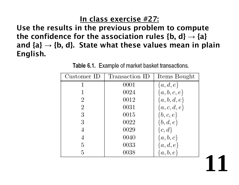#### In class exercise #27:

Use the results in the previous problem to compute the confidence for the association rules {b, d} **→** {a} and {a} **→** {b, d}. State what these values mean in plain English.

Table 6.1. Example of market basket transactions.

| Customer ID | Transaction ID | Items Bought  |
|-------------|----------------|---------------|
|             | 0001           | $\{a,d,e\}$   |
|             | 0024           | $\{a,b,c,e\}$ |
| 2           | 0012           | $\{a,b,d,e\}$ |
| 2           | 0031           | $\{a,c,d,e\}$ |
| 3           | 0015           | $\{b,c,e\}$   |
| 3           | 0022           | $\{b,d,e\}$   |
| 4           | 0029           | $\{c,d\}$     |
| 4           | 0040           | $\{a,b,c\}$   |
| 5           | 0033           | $\{a,d,e\}$   |
| 5           | 0038           | $\{a,b,e\}$   |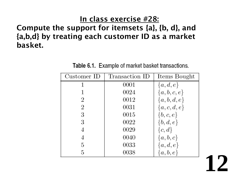#### In class exercise #28:

### Compute the support for itemsets {a}, {b, d}, and {a,b,d} by treating each customer ID as a market basket.

Table 6.1. Example of market basket transactions.

| Customer ID | Transaction ID | Items Bought  |
|-------------|----------------|---------------|
|             | 0001           | $\{a,d,e\}$   |
|             | 0024           | $\{a,b,c,e\}$ |
| 2           | 0012           | $\{a,b,d,e\}$ |
| 2           | 0031           | $\{a,c,d,e\}$ |
| 3           | 0015           | $\{b,c,e\}$   |
| 3           | 0022           | $\{b,d,e\}$   |
|             | 0029           | $\{c,d\}$     |
| 4           | 0040           | $\{a,b,c\}$   |
| 5           | 0033           | $\{a,d,e\}$   |
| 5           | 0038           | $\{a,b,e\}$   |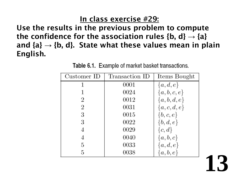#### In class exercise #29:

Use the results in the previous problem to compute the confidence for the association rules {b, d} **→** {a} and {a} **→** {b, d}. State what these values mean in plain English.

Table 6.1. Example of market basket transactions.

| Customer ID | Transaction ID | Items Bought  |
|-------------|----------------|---------------|
|             | 0001           | $\{a,d,e\}$   |
|             | 0024           | ${a,b,c,e}$   |
| 2           | 0012           | $\{a,b,d,e\}$ |
| 2           | 0031           | ${a,c,d,e}$   |
| 3           | 0015           | $\{b,c,e\}$   |
| 3           | 0022           | $\{b,d,e\}$   |
| 4           | 0029           | $\{c,d\}$     |
| 4           | 0040           | $\{a,b,c\}$   |
| 5           | 0033           | $\{a,d,e\}$   |
| 5           | 0038           | $\{a,b,e\}$   |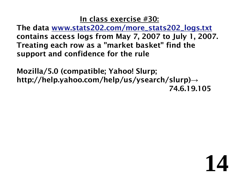#### In class exercise #30:

The data www.stats202.com/more\_stats202\_logs.txt contains access logs from May 7, 2007 to July 1, 2007. Treating each row as a "market basket" find the support and confidence for the rule

Mozilla/5.0 (compatible; Yahoo! Slurp; http://help.yahoo.com/help/us/ysearch/slurp) **→** 74.6.19.105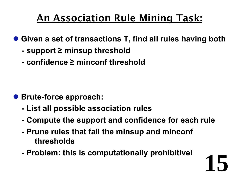# An Association Rule Mining Task:

- Given a set of transactions T, find all rules having both
	- **support ≥ minsup threshold**
	- **- confidence ≥ minconf threshold**

- **Brute-force approach:** 
	- **- List all possible association rules**
	- **- Compute the support and confidence for each rule**

- **- Prune rules that fail the minsup and minconf thresholds**
- **- Problem: this is computationally prohibitive!**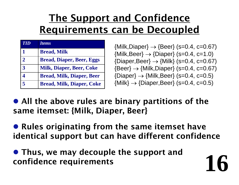# The Support and Confidence Requirements can be Decoupled

| <b>TID</b>              | <b>Items</b>                     |
|-------------------------|----------------------------------|
| $\blacksquare$          | <b>Bread, Milk</b>               |
| $\overline{2}$          | <b>Bread, Diaper, Beer, Eggs</b> |
| $\overline{3}$          | <b>Milk, Diaper, Beer, Coke</b>  |
| $\boldsymbol{\Delta}$   | <b>Bread, Milk, Diaper, Beer</b> |
| $\overline{\mathbf{5}}$ | <b>Bread, Milk, Diaper, Coke</b> |

{Milk,Diaper} → {Beer} (s=0.4, c=0.67)  $\left\{\textsf{Milk},\textsf{Beer}\right\} \rightarrow \left\{\textsf{Diaper}\right\} \left(\textsf{s=0.4, c=1.0}\right)$ {Diaper,Beer} → {Milk} (s=0.4, c=0.67) {Beer} → {Milk,Diaper} (s=0.4, c=0.67) {Diaper} → {Milk,Beer} (s=0.4, c=0.5) {Milk} → {Diaper,Beer} (s=0.4, c=0.5)

**16**

• All the above rules are binary partitions of the same itemset: {Milk, Diaper, Beer}

• Rules originating from the same itemset have identical support but can have different confidence

• Thus, we may decouple the support and confidence requirements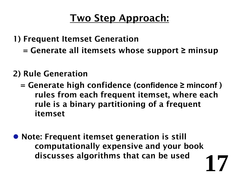## Two Step Approach:

- 1) Frequent Itemset Generation
	- = Generate all itemsets whose support **≥** minsup

### 2) Rule Generation

- = Generate high confidence (**confidence ≥ minconf** ) rules from each frequent itemset, where each rule is a binary partitioning of a frequent itemset
- **17**• Note: Frequent itemset generation is still computationally expensive and your book discusses algorithms that can be used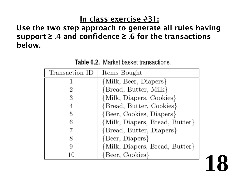#### In class exercise #31:

### Use the two step approach to generate all rules having support **≥** .4 and confidence **≥** .6 for the transactions below.

Table 6.2. Market basket transactions.

| Transaction ID | Items Bought                   |
|----------------|--------------------------------|
|                | {Milk, Beer, Diapers}          |
|                | {Bread, Butter, Milk}          |
| 3              | {Milk, Diapers, Cookies}       |
|                | {Bread, Butter, Cookies}       |
| 5              | {Beer, Cookies, Diapers}       |
| 6              | {Milk, Diapers, Bread, Butter} |
|                | {Bread, Butter, Diapers}       |
|                | {Beer, Diapers}                |
| 9              | {Milk, Diapers, Bread, Butter} |
| 10             | Beer, Cookies}                 |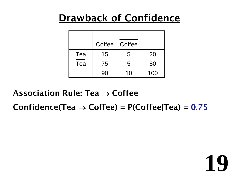## Drawback of Confidence

|                         | Coffee | Coffee |     |
|-------------------------|--------|--------|-----|
| Tea                     | 15     | 5      | 20  |
| $\overline{\text{Tea}}$ | 75     | 5      | 80  |
|                         | 90     | 10     | 100 |

Association Rule: Tea  $\rightarrow$  Coffee

Confidence(Tea → Coffee) = P(Coffee|Tea) = 0.75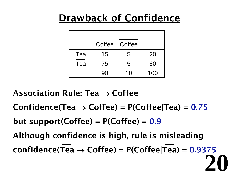## Drawback of Confidence

|                         | Coffee | Coffee         |     |
|-------------------------|--------|----------------|-----|
| Tea                     | 15     | 5              | 20  |
| $\overline{\text{Tea}}$ | 75     | 5              | 80  |
|                         | 90     | 1 <sub>0</sub> | 100 |

- Association Rule: Tea  $\rightarrow$  Coffee
- Confidence(Tea → Coffee) = P(Coffee|Tea) = 0.75
- but support(Coffee) =  $P(Coffee) = 0.9$
- Although confidence is high, rule is misleading confidence(Tea → Coffee) = P(Coffee|Tea) = 0.9375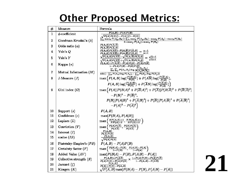## **Other Proposed Metrics:**

| #            | Measure                       | Formula                                                                                                                                                                                                                                                                   |
|--------------|-------------------------------|---------------------------------------------------------------------------------------------------------------------------------------------------------------------------------------------------------------------------------------------------------------------------|
| $\mathbf{1}$ | $\phi$ -coefficient           | $\overline{P(A,B)-P(A)P(B)}$<br>$\sqrt{P(A)P(B)(1-P(A))(1-P(B))}$                                                                                                                                                                                                         |
| 2            | Goodman-Kruskal's $(\lambda)$ | $\sum_{j}^{\prime} \frac{\sum_{j}^{\prime}}{\max_{k} P(A_{j}, B_{k}) + \sum_{k}^{\prime}} \frac{\sum_{j}^{\prime}}{\max_{j} P(A_{j}, B_{k}) - \max_{j} P(A_{j}) - \max_{k} P(B_{k})}$<br>$\frac{1 - \max_{k} P(A_{j}) - \max_{k} P(B_{k})}{P(A_{j}) - \max_{k} P(B_{k})}$ |
| 3            | Odds ratio $(\alpha)$         | $P(A, B)P(\overline{A}, \overline{B})$<br>$P(A,\overline{B})P(\overline{A},B)$                                                                                                                                                                                            |
| 4            | Yule's $Q$                    | $\frac{P(A,B)P(\overline{AB})-P(A,\overline{B})P(\overline{A},B)}{P(A,B)P(\overline{AB})+P(A,\overline{B})P(\overline{A},B)}=\frac{\alpha-1}{\alpha+1}$                                                                                                                   |
| 5            | Yule's Y                      | $\frac{\sqrt{P(A,B)P(\overline{AB})}-\sqrt{P(A,\overline{B})P(\overline{A},B)}}{\sqrt{P(A,B)P(\overline{AB})}+\sqrt{P(A,\overline{B})P(\overline{A},B)}}=\frac{\sqrt{\alpha}-1}{\sqrt{\alpha}+1}$                                                                         |
| 6            | Kappa $(\kappa)$              | $\frac{\sum (A,B)+P(\overline{A},\overline{B})-\sum (A)P(B)-P(\overline{A})P(\overline{B})}{1-P(A)P(B)-P(\overline{A})P(\overline{B})}\ \sum_i\sum_j P(A_i,B_j)\log\frac{P(A_i,B_j)}{P(A_i)P(B_j)}$                                                                       |
| 7            | Mutual Information $(M)$      | $\min(-\sum_{i} P(A_i) \log P(A_i), -\sum_{i} P(B_j) \log P(B_j))$                                                                                                                                                                                                        |
| 8            | J-Measure $(J)$               | $\max\left(P(A,B)\log(\frac{P(B A)}{P(B)})+P(A\overline{B})\log(\frac{P(B A)}{P(B)}),\right)$                                                                                                                                                                             |
|              |                               | $P(A, B) \log(\frac{P(A B)}{P(A)}) + P(\overline{A}B) \log(\frac{P(A B)}{P(A)})$                                                                                                                                                                                          |
| 9            | Gini index $(G)$              | $\max\left(P(A)[P(B A)^{2}+P(\overline{B} A)^{2}]+P(\overline{A})[P(B \overline{A})^{2}+P(\overline{B} \overline{A})^{2}]\right.$                                                                                                                                         |
|              |                               | $-P(B)^{2}-P(\overline{B})^{2}$ ,                                                                                                                                                                                                                                         |
|              |                               | $P(B)[P(A B)^{2}+P(\overline{A} B)^{2}]+P(\overline{B})[P(A \overline{B})^{2}+P(\overline{A} \overline{B})^{2}]$                                                                                                                                                          |
|              |                               | $-P(A)^2-P(\overline{A})^2$                                                                                                                                                                                                                                               |
| 10           | Support $(s)$                 | P(A, B)                                                                                                                                                                                                                                                                   |
| 11           | Confidence $(c)$              | max(P(B A), P(A B))                                                                                                                                                                                                                                                       |
| 12           | Laplace $(L)$                 | $\max\left(\frac{NP(A,B)+1}{NP(A)+2},\frac{NP(A,B)+1}{NP(B)+2}\right)$                                                                                                                                                                                                    |
| 13           | Conviction $(V)$              | $\max\left(\frac{P(A)P(B)}{P(A\overline{B})},\frac{P(B)P(A)}{P(B\overline{A})}\right)$                                                                                                                                                                                    |
| 14           | Interest $(I)$                | $\frac{P(A,B)}{P(A)P(B)}$                                                                                                                                                                                                                                                 |
| 15           | cosine (IS)                   | $\frac{P(A,B)}{\sqrt{P(A)P(B)}}$                                                                                                                                                                                                                                          |
| 16           | Piatetsky-Shapiro's $(PS)$    | $P(A, B) - P(A)P(B)$                                                                                                                                                                                                                                                      |
| 17           | Certainty factor $(F)$        | $\max\left\{\frac{P(B A)-P(B)}{1-P(B)},\frac{P(A B)-P(A)}{1-P(A)}\right\}$                                                                                                                                                                                                |
| 18           | Added Value $(AV)$            | $max(P(B A) - P(B), P(A B) - P(A))$                                                                                                                                                                                                                                       |
| 19           | Collective strength $(S)$     | $\frac{P(A,B)+P(\overline{AB})}{P(A)P(B)+P(\overline{A})P(\overline{B})} \times \frac{1-P(A)P(B)-P(\overline{A})P(\overline{B})}{1-P(A,B)-P(\overline{AB})}$                                                                                                              |
| 20           | Jaccard $(\zeta)$             | P(A,B)<br>$\overline{P(A)+P(B)-P(A,B)}$                                                                                                                                                                                                                                   |
| 21           | Klosgen $(K)$                 | $\sqrt{P(A,B)}$ max $(P(B A) - P(B), P(A B) - P(A))$                                                                                                                                                                                                                      |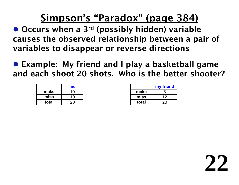## Simpson's "Paradox" (page 384)

- Occurs when a 3<sup>rd</sup> (possibly hidden) variable causes the observed relationship between a pair of variables to disappear or reverse directions
- Example: My friend and I play a basketball game and each shoot 20 shots. Who is the better shooter?

|       | me |
|-------|----|
| make  | 10 |
| miss  | 10 |
| total | 20 |

| my friend |    |
|-----------|----|
| make      | 8  |
| miss      | 12 |
| total     | 20 |

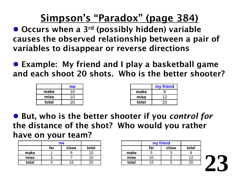## Simpson's "Paradox" (page 384)

- Occurs when a 3<sup>rd</sup> (possibly hidden) variable causes the observed relationship between a pair of variables to disappear or reverse directions
- Example: My friend and I play a basketball game and each shoot 20 shots. Who is the better shooter?

|       | me |       | my friend |
|-------|----|-------|-----------|
| make  | 10 | make  |           |
| miss  | 10 | miss  |           |
| total | 20 | total | ∠∪        |

● But, who is the better shooter if you *control for* the distance of the shot? Who would you rather have on your team?

|       | me           |    |       |
|-------|--------------|----|-------|
|       | far<br>close |    | total |
| make  |              |    | 10    |
| miss  |              |    | 1 ( ) |
| total |              | 16 |       |

|       | my friend |       |       |
|-------|-----------|-------|-------|
|       | far       | close | total |
| make  |           |       |       |
| miss  | 11        |       | 12    |
| total | 15        |       |       |

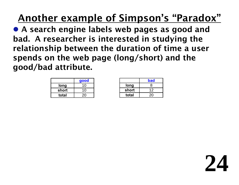# Another example of Simpson's "Paradox"

• A search engine labels web pages as good and bad. A researcher is interested in studying the relationship between the duration of time a user spends on the web page (long/short) and the good/bad attribute.

| good  |    |
|-------|----|
| long  | 10 |
| short | 10 |
| total | 20 |

|       | bad |  |
|-------|-----|--|
| long  | R   |  |
| short | 12  |  |
| total | 20  |  |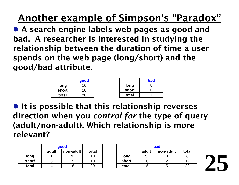# Another example of Simpson's "Paradox"

• A search engine labels web pages as good and bad. A researcher is interested in studying the relationship between the duration of time a user spends on the web page (long/short) and the good/bad attribute.

|       | good           |
|-------|----------------|
| long  | 1 <sub>0</sub> |
| short | 1 <sub>0</sub> |
| total |                |

|       | bad |
|-------|-----|
| long  | 8   |
| short | 12  |
| total | 20  |

**• It is possible that this relationship reverses** direction when you *control for* the type of query (adult/non-adult). Which relationship is more relevant?

|       | good               |  |       |
|-------|--------------------|--|-------|
|       | adult<br>non-adult |  | total |
| long  |                    |  | 10    |
| short |                    |  | 1 በ   |
| total |                    |  |       |

|       | bad                |  |       |
|-------|--------------------|--|-------|
|       | non-adult<br>adult |  | total |
| long  |                    |  |       |
| short | 10                 |  | 12    |
| total | 15                 |  |       |

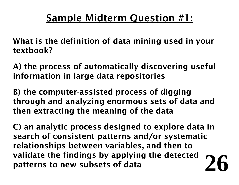## Sample Midterm Question #1:

- What is the definition of data mining used in your textbook?
- A) the process of automatically discovering useful information in large data repositories
- B) the computer-assisted process of digging through and analyzing enormous sets of data and then extracting the meaning of the data
- **26** C) an analytic process designed to explore data in search of consistent patterns and/or systematic relationships between variables, and then to validate the findings by applying the detected patterns to new subsets of data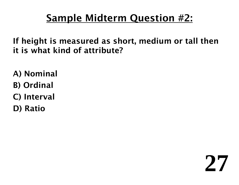## Sample Midterm Question #2:

If height is measured as short, medium or tall then it is what kind of attribute?

- A) Nominal
- B) Ordinal
- C) Interval
- D) Ratio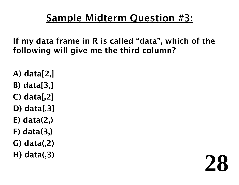## Sample Midterm Question #3:

If my data frame in R is called "data", which of the following will give me the third column?

- A) data[2,]
- B) data[3,]
- C) data[,2]
- D) data[,3]
- E) data(2,)
- F) data(3,)
- G) data(,2)
- H) data(,3)